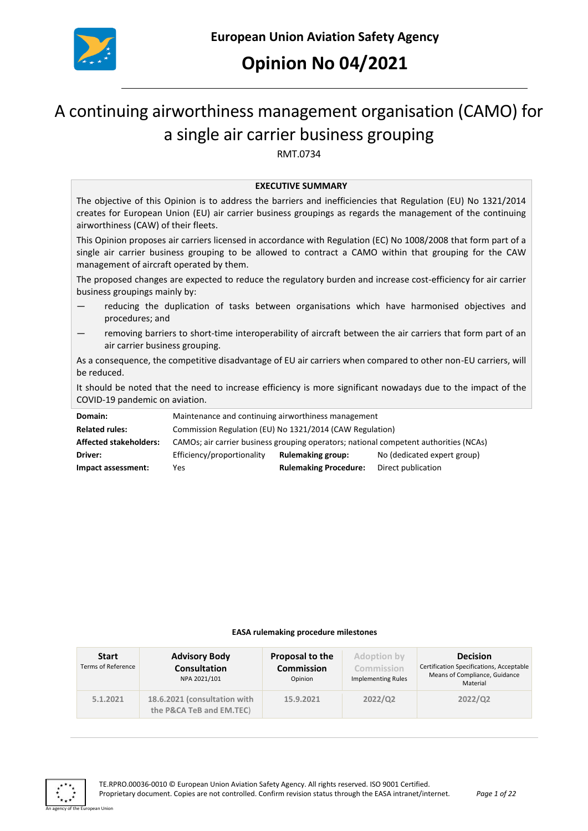

## **Opinion No 04/2021**

# A continuing airworthiness management organisation (CAMO) for a single air carrier business grouping

RMT.0734

#### **EXECUTIVE SUMMARY**

The objective of this Opinion is to address the barriers and inefficiencies that Regulation (EU) No 1321/2014 creates for European Union (EU) air carrier business groupings as regards the management of the continuing airworthiness (CAW) of their fleets.

This Opinion proposes air carriers licensed in accordance with Regulation (EC) No 1008/2008 that form part of a single air carrier business grouping to be allowed to contract a CAMO within that grouping for the CAW management of aircraft operated by them.

The proposed changes are expected to reduce the regulatory burden and increase cost-efficiency for air carrier business groupings mainly by:

- reducing the duplication of tasks between organisations which have harmonised objectives and procedures; and
- removing barriers to short-time interoperability of aircraft between the air carriers that form part of an air carrier business grouping.

As a consequence, the competitive disadvantage of EU air carriers when compared to other non-EU carriers, will be reduced.

It should be noted that the need to increase efficiency is more significant nowadays due to the impact of the COVID-19 pandemic on aviation.

| Domain:                       | Maintenance and continuing airworthiness management                                   |                              |                             |  |
|-------------------------------|---------------------------------------------------------------------------------------|------------------------------|-----------------------------|--|
| <b>Related rules:</b>         | Commission Regulation (EU) No 1321/2014 (CAW Regulation)                              |                              |                             |  |
| <b>Affected stakeholders:</b> | CAMOs; air carrier business grouping operators; national competent authorities (NCAs) |                              |                             |  |
| Driver:                       | Efficiency/proportionality                                                            | <b>Rulemaking group:</b>     | No (dedicated expert group) |  |
| Impact assessment:            | Yes                                                                                   | <b>Rulemaking Procedure:</b> | Direct publication          |  |

#### **EASA rulemaking procedure milestones**

| <b>Start</b><br><b>Terms of Reference</b> | <b>Advisory Body</b><br><b>Consultation</b><br>NPA 2021/101 | Proposal to the<br><b>Commission</b><br>Opinion | Adoption by<br>Commission<br><b>Implementing Rules</b> | <b>Decision</b><br>Certification Specifications, Acceptable<br>Means of Compliance, Guidance<br>Material |
|-------------------------------------------|-------------------------------------------------------------|-------------------------------------------------|--------------------------------------------------------|----------------------------------------------------------------------------------------------------------|
| 5.1.2021                                  | 18.6.2021 (consultation with<br>the P&CA TeB and EM.TEC)    | 15.9.2021                                       | 2022/Q2                                                | 2022/Q2                                                                                                  |

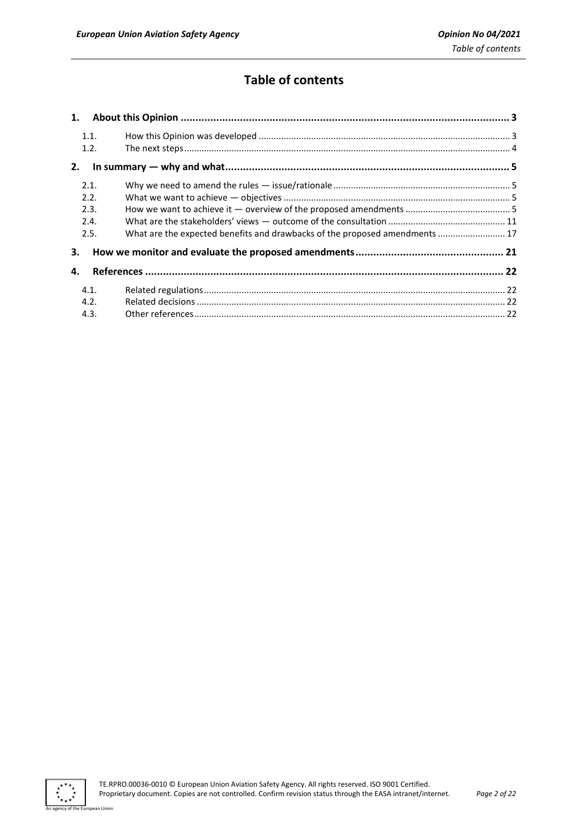## **Table of contents**

| 1.   |                                                                             |  |
|------|-----------------------------------------------------------------------------|--|
| 1.1. |                                                                             |  |
| 1.2. |                                                                             |  |
| 2.   |                                                                             |  |
| 2.1. |                                                                             |  |
| 2.2. |                                                                             |  |
| 2.3. |                                                                             |  |
| 2.4. |                                                                             |  |
| 2.5. | What are the expected benefits and drawbacks of the proposed amendments  17 |  |
| 3.   |                                                                             |  |
| 4.   |                                                                             |  |
| 4.1. |                                                                             |  |
| 4.2. |                                                                             |  |
| 4.3. |                                                                             |  |

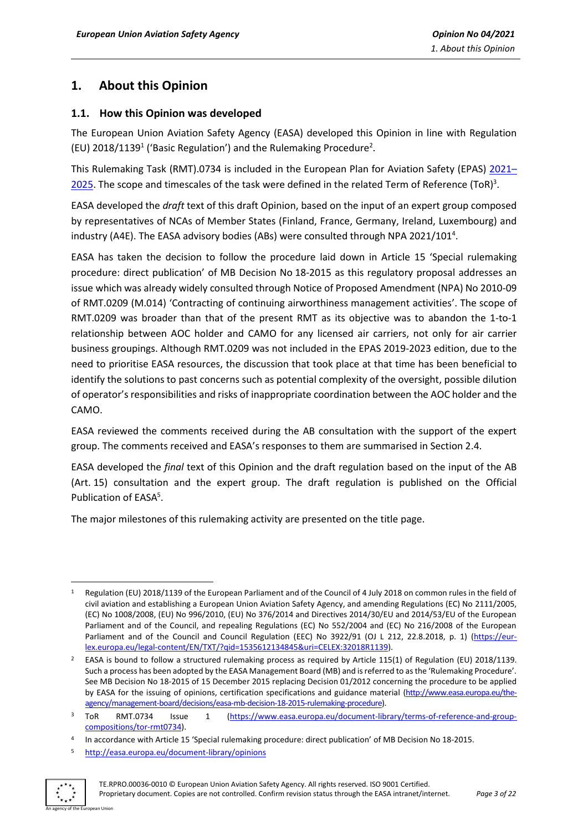## <span id="page-2-0"></span>**1. About this Opinion**

#### <span id="page-2-1"></span>**1.1. How this Opinion was developed**

The European Union Aviation Safety Agency (EASA) developed this Opinion in line with Regulation (EU)  $2018/1139<sup>1</sup>$  ('Basic Regulation') and the Rulemaking Procedure<sup>2</sup>.

This Rulemaking Task (RMT).0734 is included in the European Plan for Aviation Safety (EPAS) [2021](https://www.easa.europa.eu/sites/default/files/dfu/epas_2021_2025_vol_two_final.pdf)-[2025.](https://www.easa.europa.eu/sites/default/files/dfu/epas_2021_2025_vol_two_final.pdf) The scope and timescales of the task were defined in the related Term of Reference (ToR)<sup>3</sup>.

EASA developed the *draft* text of this draft Opinion, based on the input of an expert group composed by representatives of NCAs of Member States (Finland, France, Germany, Ireland, Luxembourg) and industry (A4E). The EASA advisory bodies (ABs) were consulted through NPA 2021/101<sup>4</sup>.

EASA has taken the decision to follow the procedure laid down in Article 15 'Special rulemaking procedure: direct publication' of MB Decision No 18-2015 as this regulatory proposal addresses an issue which was already widely consulted through Notice of Proposed Amendment (NPA) No 2010-09 of RMT.0209 (M.014) 'Contracting of continuing airworthiness management activities'. The scope of RMT.0209 was broader than that of the present RMT as its objective was to abandon the 1-to-1 relationship between AOC holder and CAMO for any licensed air carriers, not only for air carrier business groupings. Although RMT.0209 was not included in the EPAS 2019-2023 edition, due to the need to prioritise EASA resources, the discussion that took place at that time has been beneficial to identify the solutions to past concerns such as potential complexity of the oversight, possible dilution of operator's responsibilities and risks of inappropriate coordination between the AOC holder and the CAMO.

EASA reviewed the comments received during the AB consultation with the support of the expert group. The comments received and EASA's responses to them are summarised in Section 2.4.

EASA developed the *final* text of this Opinion and the draft regulation based on the input of the AB (Art. 15) consultation and the expert group. The draft regulation is published on the Official Publication of EASA<sup>5</sup>.

The major milestones of this rulemaking activity are presented on the title page.

<sup>5</sup> <http://easa.europa.eu/document-library/opinions>



<sup>1</sup> Regulation (EU) 2018/1139 of the European Parliament and of the Council of 4 July 2018 on common rules in the field of civil aviation and establishing a European Union Aviation Safety Agency, and amending Regulations (EC) No 2111/2005, (EC) No 1008/2008, (EU) No 996/2010, (EU) No 376/2014 and Directives 2014/30/EU and 2014/53/EU of the European Parliament and of the Council, and repealing Regulations (EC) No 552/2004 and (EC) No 216/2008 of the European Parliament and of the Council and Council Regulation (EEC) No 3922/91 (OJ L 212, 22.8.2018, p. 1) [\(https://eur](https://eur-lex.europa.eu/legal-content/EN/TXT/?qid=1535612134845&uri=CELEX:32018R1139)[lex.europa.eu/legal-content/EN/TXT/?qid=1535612134845&uri=CELEX:32018R1139\)](https://eur-lex.europa.eu/legal-content/EN/TXT/?qid=1535612134845&uri=CELEX:32018R1139).

<sup>&</sup>lt;sup>2</sup> EASA is bound to follow a structured rulemaking process as required by Article 115(1) of Regulation (EU) 2018/1139. Such a process has been adopted by the EASA Management Board (MB) and is referred to as the 'Rulemaking Procedure'. See MB Decision No 18-2015 of 15 December 2015 replacing Decision 01/2012 concerning the procedure to be applied by EASA for the issuing of opinions, certification specifications and guidance material [\(http://www.easa.europa.eu/the](http://www.easa.europa.eu/the-agency/management-board/decisions/easa-mb-decision-18-2015-rulemaking-procedure)[agency/management-board/decisions/easa-mb-decision-18-2015-rulemaking-procedure\)](http://www.easa.europa.eu/the-agency/management-board/decisions/easa-mb-decision-18-2015-rulemaking-procedure).

<sup>&</sup>lt;sup>3</sup> ToR RMT.0734 Issue 1 [\(https://www.easa.europa.eu/document-library/terms-of-reference-and-group](https://www.easa.europa.eu/document-library/terms-of-reference-and-group-compositions/tor-rmt0734)[compositions/tor-rmt0734\)](https://www.easa.europa.eu/document-library/terms-of-reference-and-group-compositions/tor-rmt0734).

<sup>4</sup> In accordance with Article 15 'Special rulemaking procedure: direct publication' of MB Decision No 18-2015.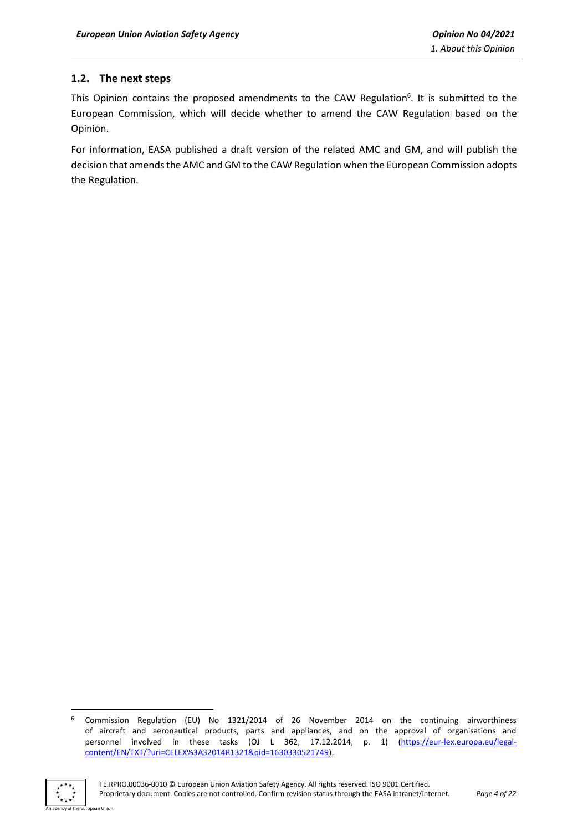#### <span id="page-3-0"></span>**1.2. The next steps**

This Opinion contains the proposed amendments to the CAW Regulation<sup>6</sup>. It is submitted to the European Commission, which will decide whether to amend the CAW Regulation based on the Opinion.

For information, EASA published a draft version of the related AMC and GM, and will publish the decision that amends the AMC and GM to the CAW Regulation when the European Commission adopts the Regulation.

<sup>6</sup> Commission Regulation (EU) No 1321/2014 of 26 November 2014 on the continuing airworthiness of aircraft and aeronautical products, parts and appliances, and on the approval of organisations and personnel involved in these tasks (OJ L 362, 17.12.2014, p. 1) [\(https://eur-lex.europa.eu/legal](https://eur-lex.europa.eu/legal-content/EN/TXT/?uri=CELEX%3A32014R1321&qid=1630330521749)[content/EN/TXT/?uri=CELEX%3A32014R1321&qid=1630330521749\)](https://eur-lex.europa.eu/legal-content/EN/TXT/?uri=CELEX%3A32014R1321&qid=1630330521749).

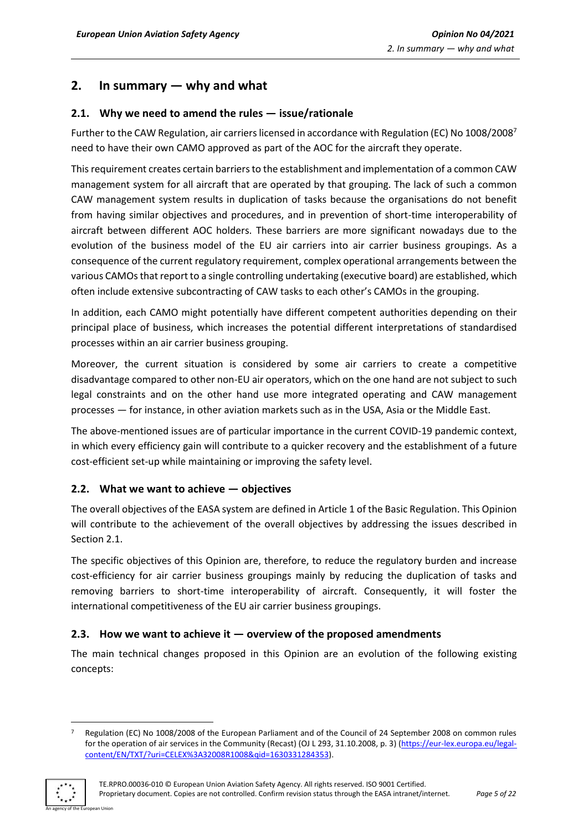## <span id="page-4-0"></span>**2. In summary — why and what**

#### <span id="page-4-1"></span>**2.1. Why we need to amend the rules — issue/rationale**

Further to the CAW Regulation, air carriers licensed in accordance with Regulation (EC) No 1008/2008<sup>7</sup> need to have their own CAMO approved as part of the AOC for the aircraft they operate.

This requirement creates certain barriers to the establishment and implementation of a common CAW management system for all aircraft that are operated by that grouping. The lack of such a common CAW management system results in duplication of tasks because the organisations do not benefit from having similar objectives and procedures, and in prevention of short-time interoperability of aircraft between different AOC holders. These barriers are more significant nowadays due to the evolution of the business model of the EU air carriers into air carrier business groupings. As a consequence of the current regulatory requirement, complex operational arrangements between the various CAMOs that report to a single controlling undertaking (executive board) are established, which often include extensive subcontracting of CAW tasks to each other's CAMOs in the grouping.

In addition, each CAMO might potentially have different competent authorities depending on their principal place of business, which increases the potential different interpretations of standardised processes within an air carrier business grouping.

Moreover, the current situation is considered by some air carriers to create a competitive disadvantage compared to other non-EU air operators, which on the one hand are not subject to such legal constraints and on the other hand use more integrated operating and CAW management processes — for instance, in other aviation markets such as in the USA, Asia or the Middle East.

The above-mentioned issues are of particular importance in the current COVID-19 pandemic context, in which every efficiency gain will contribute to a quicker recovery and the establishment of a future cost-efficient set-up while maintaining or improving the safety level.

#### <span id="page-4-2"></span>**2.2. What we want to achieve — objectives**

The overall objectives of the EASA system are defined in Article 1 of the Basic Regulation. This Opinion will contribute to the achievement of the overall objectives by addressing the issues described in Section 2.1.

The specific objectives of this Opinion are, therefore, to reduce the regulatory burden and increase cost-efficiency for air carrier business groupings mainly by reducing the duplication of tasks and removing barriers to short-time interoperability of aircraft. Consequently, it will foster the international competitiveness of the EU air carrier business groupings.

#### <span id="page-4-3"></span>**2.3. How we want to achieve it — overview of the proposed amendments**

The main technical changes proposed in this Opinion are an evolution of the following existing concepts:

<sup>7</sup> Regulation (EC) No 1008/2008 of the European Parliament and of the Council of 24 September 2008 on common rules for the operation of air services in the Community (Recast) (OJ L 293, 31.10.2008, p. 3) [\(https://eur-lex.europa.eu/legal](https://eur-lex.europa.eu/legal-content/EN/TXT/?uri=CELEX%3A32008R1008&qid=1630331284353)[content/EN/TXT/?uri=CELEX%3A32008R1008&qid=1630331284353\)](https://eur-lex.europa.eu/legal-content/EN/TXT/?uri=CELEX%3A32008R1008&qid=1630331284353).

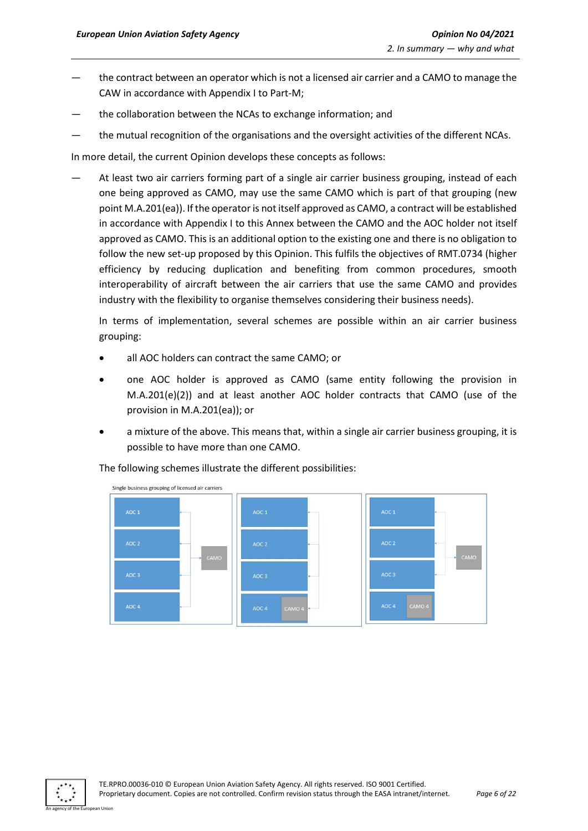- the contract between an operator which is not a licensed air carrier and a CAMO to manage the CAW in accordance with Appendix I to Part-M;
- the collaboration between the NCAs to exchange information; and
- the mutual recognition of the organisations and the oversight activities of the different NCAs.

In more detail, the current Opinion develops these concepts as follows:

At least two air carriers forming part of a single air carrier business grouping, instead of each one being approved as CAMO, may use the same CAMO which is part of that grouping (new point M.A.201(ea)). If the operator is not itself approved as CAMO, a contract will be established in accordance with Appendix I to this Annex between the CAMO and the AOC holder not itself approved as CAMO. This is an additional option to the existing one and there is no obligation to follow the new set-up proposed by this Opinion. This fulfils the objectives of RMT.0734 (higher efficiency by reducing duplication and benefiting from common procedures, smooth interoperability of aircraft between the air carriers that use the same CAMO and provides industry with the flexibility to organise themselves considering their business needs).

In terms of implementation, several schemes are possible within an air carrier business grouping:

- all AOC holders can contract the same CAMO; or
- one AOC holder is approved as CAMO (same entity following the provision in M.A.201(e)(2)) and at least another AOC holder contracts that CAMO (use of the provision in M.A.201(ea)); or
- a mixture of the above. This means that, within a single air carrier business grouping, it is possible to have more than one CAMO.

The following schemes illustrate the different possibilities:



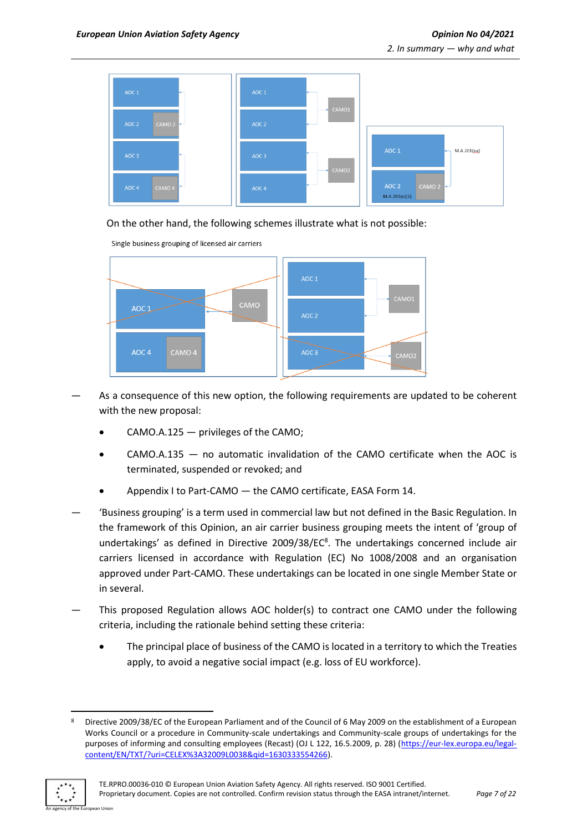

#### On the other hand, the following schemes illustrate what is not possible:



- As a consequence of this new option, the following requirements are updated to be coherent with the new proposal:
	- $CAMO.A.125 -$  privileges of the CAMO;
	- CAMO.A.135 no automatic invalidation of the CAMO certificate when the AOC is terminated, suspended or revoked; and
	- Appendix I to Part-CAMO the CAMO certificate, EASA Form 14.
- 'Business grouping' is a term used in commercial law but not defined in the Basic Regulation. In the framework of this Opinion, an air carrier business grouping meets the intent of 'group of undertakings' as defined in Directive 2009/38/EC<sup>8</sup>. The undertakings concerned include air carriers licensed in accordance with Regulation (EC) No 1008/2008 and an organisation approved under Part-CAMO. These undertakings can be located in one single Member State or in several.
- This proposed Regulation allows AOC holder(s) to contract one CAMO under the following criteria, including the rationale behind setting these criteria:
	- The principal place of business of the CAMO is located in a territory to which the Treaties apply, to avoid a negative social impact (e.g. loss of EU workforce).

<sup>8</sup> Directive 2009/38/EC of the European Parliament and of the Council of 6 May 2009 on the establishment of a European Works Council or a procedure in Community-scale undertakings and Community-scale groups of undertakings for the purposes of informing and consulting employees (Recast) (OJ L 122, 16.5.2009, p. 28) [\(https://eur-lex.europa.eu/legal](https://eur-lex.europa.eu/legal-content/EN/TXT/?uri=CELEX%3A32009L0038&qid=1630333554266)[content/EN/TXT/?uri=CELEX%3A32009L0038&qid=1630333554266\)](https://eur-lex.europa.eu/legal-content/EN/TXT/?uri=CELEX%3A32009L0038&qid=1630333554266).

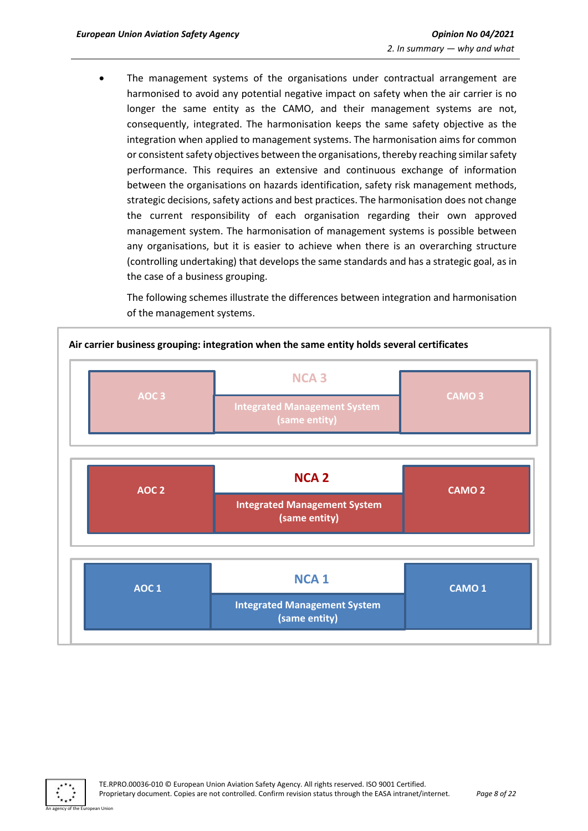The management systems of the organisations under contractual arrangement are harmonised to avoid any potential negative impact on safety when the air carrier is no longer the same entity as the CAMO, and their management systems are not, consequently, integrated. The harmonisation keeps the same safety objective as the integration when applied to management systems. The harmonisation aims for common or consistent safety objectives between the organisations, thereby reaching similar safety performance. This requires an extensive and continuous exchange of information between the organisations on hazards identification, safety risk management methods, strategic decisions, safety actions and best practices. The harmonisation does not change the current responsibility of each organisation regarding their own approved management system. The harmonisation of management systems is possible between any organisations, but it is easier to achieve when there is an overarching structure (controlling undertaking) that develops the same standards and has a strategic goal, as in the case of a business grouping.

The following schemes illustrate the differences between integration and harmonisation of the management systems.



**Air carrier business grouping: integration when the same entity holds several certificates**

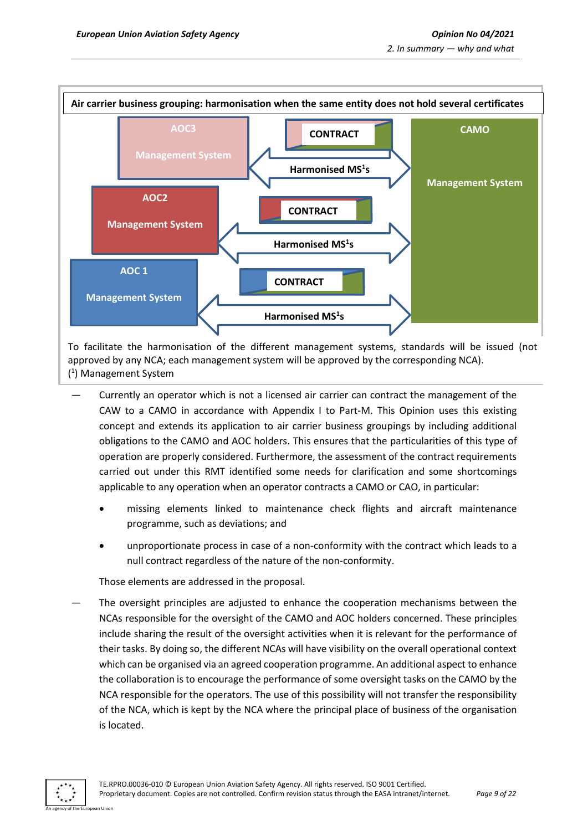

To facilitate the harmonisation of the different management systems, standards will be issued (not approved by any NCA; each management system will be approved by the corresponding NCA). ( 1 ) Management System

- Currently an operator which is not a licensed air carrier can contract the management of the CAW to a CAMO in accordance with Appendix I to Part-M. This Opinion uses this existing concept and extends its application to air carrier business groupings by including additional obligations to the CAMO and AOC holders. This ensures that the particularities of this type of operation are properly considered. Furthermore, the assessment of the contract requirements carried out under this RMT identified some needs for clarification and some shortcomings applicable to any operation when an operator contracts a CAMO or CAO, in particular:
	- missing elements linked to maintenance check flights and aircraft maintenance programme, such as deviations; and
	- unproportionate process in case of a non-conformity with the contract which leads to a null contract regardless of the nature of the non-conformity.

Those elements are addressed in the proposal.

— The oversight principles are adjusted to enhance the cooperation mechanisms between the NCAs responsible for the oversight of the CAMO and AOC holders concerned. These principles include sharing the result of the oversight activities when it is relevant for the performance of their tasks. By doing so, the different NCAs will have visibility on the overall operational context which can be organised via an agreed cooperation programme. An additional aspect to enhance the collaboration is to encourage the performance of some oversight tasks on the CAMO by the NCA responsible for the operators. The use of this possibility will not transfer the responsibility of the NCA, which is kept by the NCA where the principal place of business of the organisation is located.

An agency of the European Union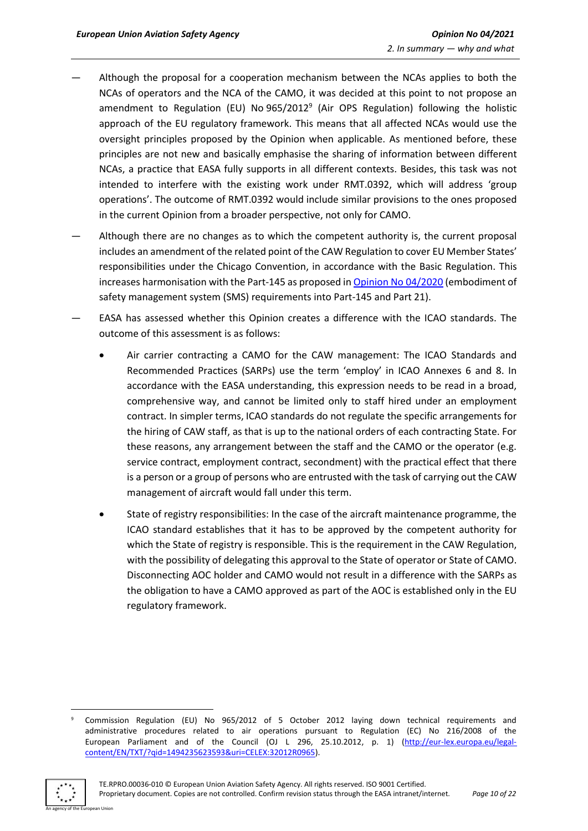- Although the proposal for a cooperation mechanism between the NCAs applies to both the NCAs of operators and the NCA of the CAMO, it was decided at this point to not propose an amendment to Regulation (EU) No 965/2012<sup>9</sup> (Air OPS Regulation) following the holistic approach of the EU regulatory framework. This means that all affected NCAs would use the oversight principles proposed by the Opinion when applicable. As mentioned before, these principles are not new and basically emphasise the sharing of information between different NCAs, a practice that EASA fully supports in all different contexts. Besides, this task was not intended to interfere with the existing work under RMT.0392, which will address 'group operations'. The outcome of RMT.0392 would include similar provisions to the ones proposed in the current Opinion from a broader perspective, not only for CAMO.
- Although there are no changes as to which the competent authority is, the current proposal includes an amendment of the related point of the CAW Regulation to cover EU Member States' responsibilities under the Chicago Convention, in accordance with the Basic Regulation. This increases harmonisation with the Part-145 as proposed in [Opinion No](https://www.easa.europa.eu/document-library/opinions/opinion-no-042020) 04/2020 (embodiment of safety management system (SMS) requirements into Part-145 and Part 21).
- EASA has assessed whether this Opinion creates a difference with the ICAO standards. The outcome of this assessment is as follows:
	- Air carrier contracting a CAMO for the CAW management: The ICAO Standards and Recommended Practices (SARPs) use the term 'employ' in ICAO Annexes 6 and 8. In accordance with the EASA understanding, this expression needs to be read in a broad, comprehensive way, and cannot be limited only to staff hired under an employment contract. In simpler terms, ICAO standards do not regulate the specific arrangements for the hiring of CAW staff, as that is up to the national orders of each contracting State. For these reasons, any arrangement between the staff and the CAMO or the operator (e.g. service contract, employment contract, secondment) with the practical effect that there is a person or a group of persons who are entrusted with the task of carrying out the CAW management of aircraft would fall under this term.
	- State of registry responsibilities: In the case of the aircraft maintenance programme, the ICAO standard establishes that it has to be approved by the competent authority for which the State of registry is responsible. This is the requirement in the CAW Regulation, with the possibility of delegating this approval to the State of operator or State of CAMO. Disconnecting AOC holder and CAMO would not result in a difference with the SARPs as the obligation to have a CAMO approved as part of the AOC is established only in the EU regulatory framework.

<sup>9</sup> Commission Regulation (EU) No 965/2012 of 5 October 2012 laying down technical requirements and administrative procedures related to air operations pursuant to Regulation (EC) No 216/2008 of the European Parliament and of the Council (OJ L 296, 25.10.2012, p. 1) [\(http://eur-lex.europa.eu/legal](http://eur-lex.europa.eu/legal-content/EN/TXT/?qid=1494235623593&uri=CELEX:32012R0965)[content/EN/TXT/?qid=1494235623593&uri=CELEX:32012R0965\)](http://eur-lex.europa.eu/legal-content/EN/TXT/?qid=1494235623593&uri=CELEX:32012R0965).

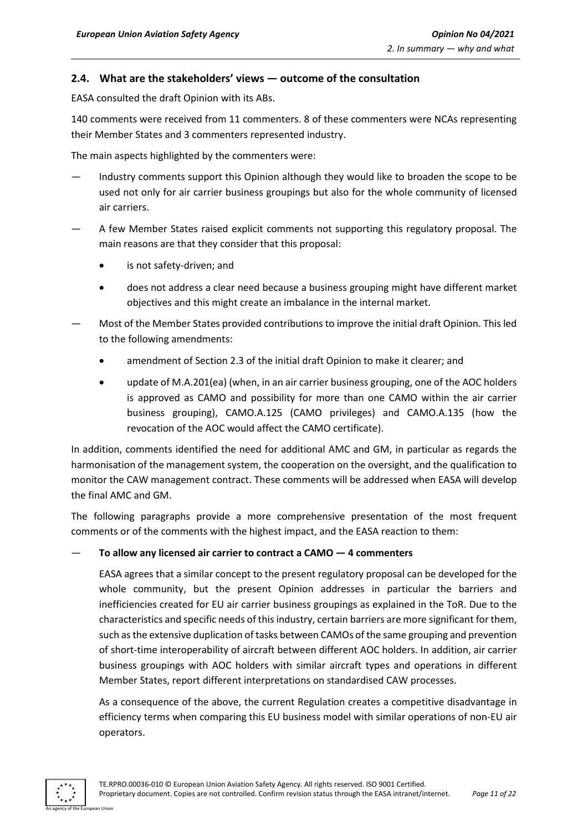#### <span id="page-10-0"></span>**2.4. What are the stakeholders' views — outcome of the consultation**

EASA consulted the draft Opinion with its ABs.

140 comments were received from 11 commenters. 8 of these commenters were NCAs representing their Member States and 3 commenters represented industry.

The main aspects highlighted by the commenters were:

- Industry comments support this Opinion although they would like to broaden the scope to be used not only for air carrier business groupings but also for the whole community of licensed air carriers.
- A few Member States raised explicit comments not supporting this regulatory proposal. The main reasons are that they consider that this proposal:
	- is not safety-driven; and
	- does not address a clear need because a business grouping might have different market objectives and this might create an imbalance in the internal market.
- Most of the Member States provided contributions to improve the initial draft Opinion. This led to the following amendments:
	- amendment of Section 2.3 of the initial draft Opinion to make it clearer; and
	- update of M.A.201(ea) (when, in an air carrier business grouping, one of the AOC holders is approved as CAMO and possibility for more than one CAMO within the air carrier business grouping), CAMO.A.125 (CAMO privileges) and CAMO.A.135 (how the revocation of the AOC would affect the CAMO certificate).

In addition, comments identified the need for additional AMC and GM, in particular as regards the harmonisation of the management system, the cooperation on the oversight, and the qualification to monitor the CAW management contract. These comments will be addressed when EASA will develop the final AMC and GM.

The following paragraphs provide a more comprehensive presentation of the most frequent comments or of the comments with the highest impact, and the EASA reaction to them:

#### — **To allow any licensed air carrier to contract a CAMO — 4 commenters**

EASA agrees that a similar concept to the present regulatory proposal can be developed for the whole community, but the present Opinion addresses in particular the barriers and inefficiencies created for EU air carrier business groupings as explained in the ToR. Due to the characteristics and specific needs of this industry, certain barriers are more significant for them, such as the extensive duplication of tasks between CAMOs of the same grouping and prevention of short-time interoperability of aircraft between different AOC holders. In addition, air carrier business groupings with AOC holders with similar aircraft types and operations in different Member States, report different interpretations on standardised CAW processes.

As a consequence of the above, the current Regulation creates a competitive disadvantage in efficiency terms when comparing this EU business model with similar operations of non-EU air operators.

An agency of the European Union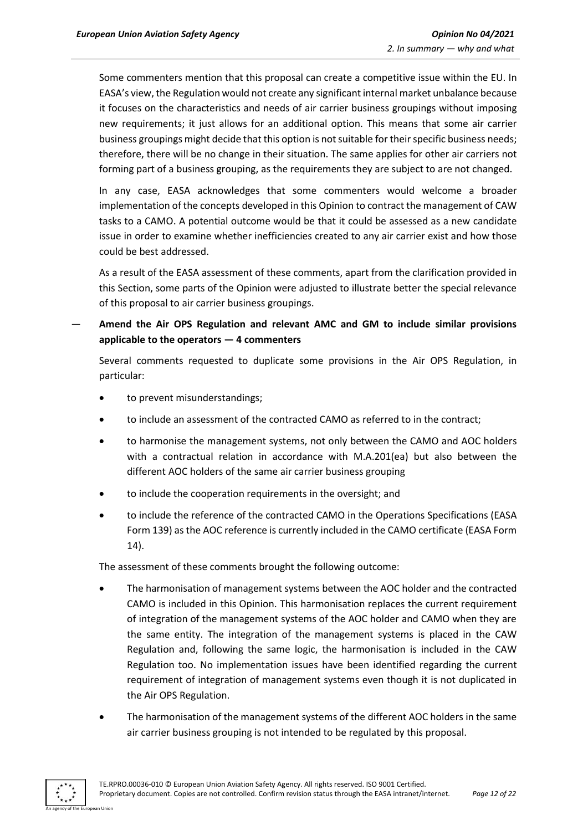Some commenters mention that this proposal can create a competitive issue within the EU. In EASA's view, the Regulation would not create any significant internal market unbalance because it focuses on the characteristics and needs of air carrier business groupings without imposing new requirements; it just allows for an additional option. This means that some air carrier business groupings might decide that this option is not suitable for their specific business needs; therefore, there will be no change in their situation. The same applies for other air carriers not forming part of a business grouping, as the requirements they are subject to are not changed.

In any case, EASA acknowledges that some commenters would welcome a broader implementation of the concepts developed in this Opinion to contract the management of CAW tasks to a CAMO. A potential outcome would be that it could be assessed as a new candidate issue in order to examine whether inefficiencies created to any air carrier exist and how those could be best addressed.

As a result of the EASA assessment of these comments, apart from the clarification provided in this Section, some parts of the Opinion were adjusted to illustrate better the special relevance of this proposal to air carrier business groupings.

— **Amend the Air OPS Regulation and relevant AMC and GM to include similar provisions applicable to the operators — 4 commenters**

Several comments requested to duplicate some provisions in the Air OPS Regulation, in particular:

- to prevent misunderstandings;
- to include an assessment of the contracted CAMO as referred to in the contract;
- to harmonise the management systems, not only between the CAMO and AOC holders with a contractual relation in accordance with M.A.201(ea) but also between the different AOC holders of the same air carrier business grouping
- to include the cooperation requirements in the oversight; and
- to include the reference of the contracted CAMO in the Operations Specifications (EASA Form 139) as the AOC reference is currently included in the CAMO certificate (EASA Form 14).

The assessment of these comments brought the following outcome:

- The harmonisation of management systems between the AOC holder and the contracted CAMO is included in this Opinion. This harmonisation replaces the current requirement of integration of the management systems of the AOC holder and CAMO when they are the same entity. The integration of the management systems is placed in the CAW Regulation and, following the same logic, the harmonisation is included in the CAW Regulation too. No implementation issues have been identified regarding the current requirement of integration of management systems even though it is not duplicated in the Air OPS Regulation.
- The harmonisation of the management systems of the different AOC holders in the same air carrier business grouping is not intended to be regulated by this proposal.

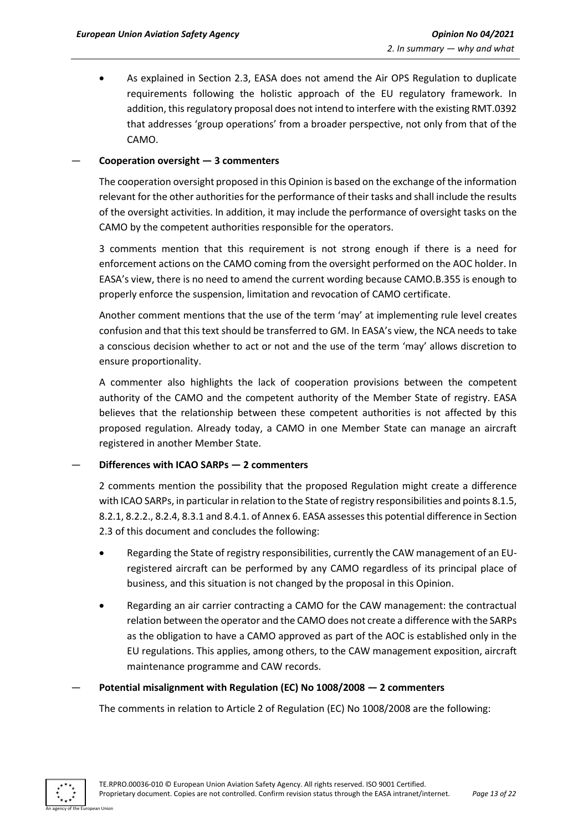• As explained in Section 2.3, EASA does not amend the Air OPS Regulation to duplicate requirements following the holistic approach of the EU regulatory framework. In addition, this regulatory proposal does not intend to interfere with the existing RMT.0392 that addresses 'group operations' from a broader perspective, not only from that of the CAMO.

#### — **Cooperation oversight — 3 commenters**

The cooperation oversight proposed in this Opinion is based on the exchange of the information relevant for the other authorities for the performance of their tasks and shall include the results of the oversight activities. In addition, it may include the performance of oversight tasks on the CAMO by the competent authorities responsible for the operators.

3 comments mention that this requirement is not strong enough if there is a need for enforcement actions on the CAMO coming from the oversight performed on the AOC holder. In EASA's view, there is no need to amend the current wording because CAMO.B.355 is enough to properly enforce the suspension, limitation and revocation of CAMO certificate.

Another comment mentions that the use of the term 'may' at implementing rule level creates confusion and that this text should be transferred to GM. In EASA's view, the NCA needs to take a conscious decision whether to act or not and the use of the term 'may' allows discretion to ensure proportionality.

A commenter also highlights the lack of cooperation provisions between the competent authority of the CAMO and the competent authority of the Member State of registry. EASA believes that the relationship between these competent authorities is not affected by this proposed regulation. Already today, a CAMO in one Member State can manage an aircraft registered in another Member State.

#### — **Differences with ICAO SARPs — 2 commenters**

2 comments mention the possibility that the proposed Regulation might create a difference with ICAO SARPs, in particular in relation to the State of registry responsibilities and points 8.1.5, 8.2.1, 8.2.2., 8.2.4, 8.3.1 and 8.4.1. of Annex 6. EASA assesses this potential difference in Section 2.3 of this document and concludes the following:

- Regarding the State of registry responsibilities, currently the CAW management of an EUregistered aircraft can be performed by any CAMO regardless of its principal place of business, and this situation is not changed by the proposal in this Opinion.
- Regarding an air carrier contracting a CAMO for the CAW management: the contractual relation between the operator and the CAMO does not create a difference with the SARPs as the obligation to have a CAMO approved as part of the AOC is established only in the EU regulations. This applies, among others, to the CAW management exposition, aircraft maintenance programme and CAW records.

#### — **Potential misalignment with Regulation (EC) No 1008/2008 — 2 commenters**

The comments in relation to Article 2 of Regulation (EC) No 1008/2008 are the following:

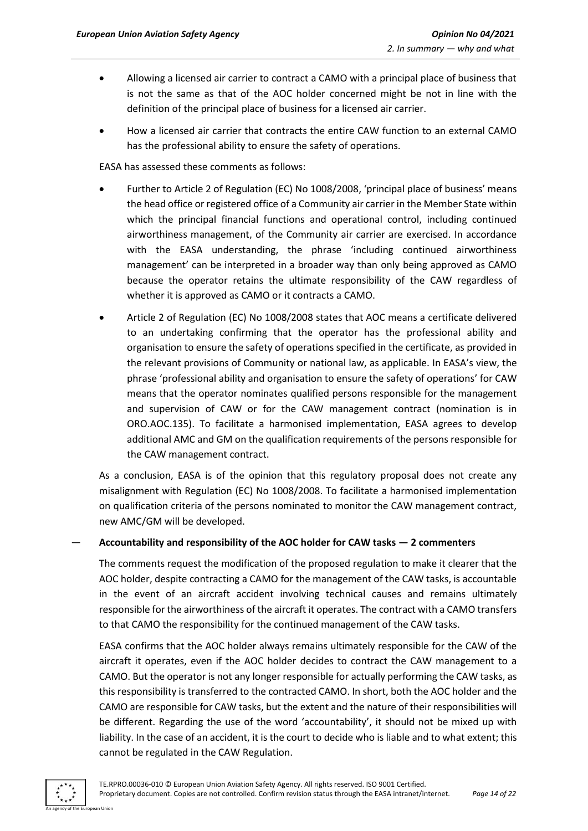- Allowing a licensed air carrier to contract a CAMO with a principal place of business that is not the same as that of the AOC holder concerned might be not in line with the definition of the principal place of business for a licensed air carrier.
- How a licensed air carrier that contracts the entire CAW function to an external CAMO has the professional ability to ensure the safety of operations.

EASA has assessed these comments as follows:

- Further to Article 2 of Regulation (EC) No 1008/2008, 'principal place of business' means the head office or registered office of a Community air carrier in the Member State within which the principal financial functions and operational control, including continued airworthiness management, of the Community air carrier are exercised. In accordance with the EASA understanding, the phrase 'including continued airworthiness management' can be interpreted in a broader way than only being approved as CAMO because the operator retains the ultimate responsibility of the CAW regardless of whether it is approved as CAMO or it contracts a CAMO.
- Article 2 of Regulation (EC) No 1008/2008 states that AOC means a certificate delivered to an undertaking confirming that the operator has the professional ability and organisation to ensure the safety of operations specified in the certificate, as provided in the relevant provisions of Community or national law, as applicable. In EASA's view, the phrase 'professional ability and organisation to ensure the safety of operations' for CAW means that the operator nominates qualified persons responsible for the management and supervision of CAW or for the CAW management contract (nomination is in ORO.AOC.135). To facilitate a harmonised implementation, EASA agrees to develop additional AMC and GM on the qualification requirements of the persons responsible for the CAW management contract.

As a conclusion, EASA is of the opinion that this regulatory proposal does not create any misalignment with Regulation (EC) No 1008/2008. To facilitate a harmonised implementation on qualification criteria of the persons nominated to monitor the CAW management contract, new AMC/GM will be developed.

— **Accountability and responsibility of the AOC holder for CAW tasks — 2 commenters**

The comments request the modification of the proposed regulation to make it clearer that the AOC holder, despite contracting a CAMO for the management of the CAW tasks, is accountable in the event of an aircraft accident involving technical causes and remains ultimately responsible for the airworthiness of the aircraft it operates. The contract with a CAMO transfers to that CAMO the responsibility for the continued management of the CAW tasks.

EASA confirms that the AOC holder always remains ultimately responsible for the CAW of the aircraft it operates, even if the AOC holder decides to contract the CAW management to a CAMO. But the operator is not any longer responsible for actually performing the CAW tasks, as this responsibility is transferred to the contracted CAMO. In short, both the AOC holder and the CAMO are responsible for CAW tasks, but the extent and the nature of their responsibilities will be different. Regarding the use of the word 'accountability', it should not be mixed up with liability. In the case of an accident, it is the court to decide who is liable and to what extent; this cannot be regulated in the CAW Regulation.

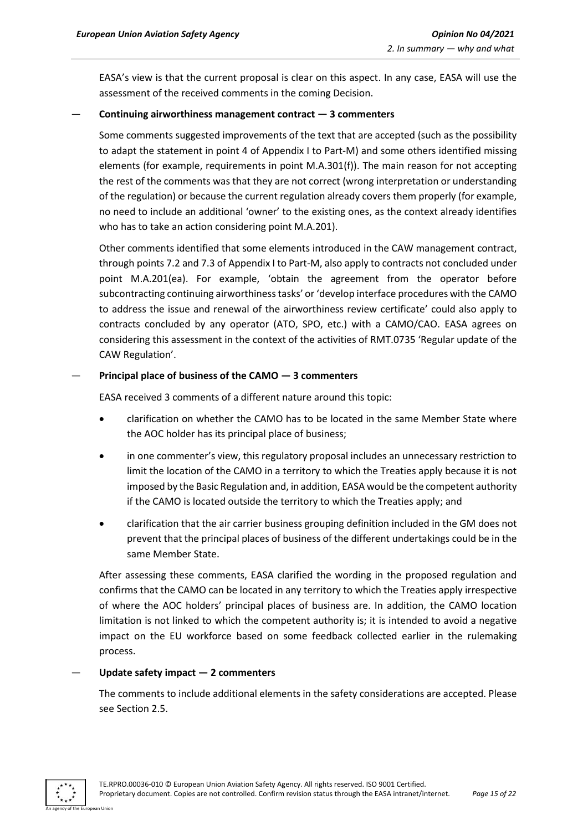EASA's view is that the current proposal is clear on this aspect. In any case, EASA will use the assessment of the received comments in the coming Decision.

#### — **Continuing airworthiness management contract — 3 commenters**

Some comments suggested improvements of the text that are accepted (such as the possibility to adapt the statement in point 4 of Appendix I to Part-M) and some others identified missing elements (for example, requirements in point M.A.301(f)). The main reason for not accepting the rest of the comments was that they are not correct (wrong interpretation or understanding of the regulation) or because the current regulation already covers them properly (for example, no need to include an additional 'owner' to the existing ones, as the context already identifies who has to take an action considering point M.A.201).

Other comments identified that some elements introduced in the CAW management contract, through points 7.2 and 7.3 of Appendix I to Part-M, also apply to contracts not concluded under point M.A.201(ea). For example, 'obtain the agreement from the operator before subcontracting continuing airworthiness tasks' or 'develop interface procedures with the CAMO to address the issue and renewal of the airworthiness review certificate' could also apply to contracts concluded by any operator (ATO, SPO, etc.) with a CAMO/CAO. EASA agrees on considering this assessment in the context of the activities of RMT.0735 'Regular update of the CAW Regulation'.

#### — **Principal place of business of the CAMO — 3 commenters**

EASA received 3 comments of a different nature around this topic:

- clarification on whether the CAMO has to be located in the same Member State where the AOC holder has its principal place of business;
- in one commenter's view, this regulatory proposal includes an unnecessary restriction to limit the location of the CAMO in a territory to which the Treaties apply because it is not imposed by the Basic Regulation and, in addition, EASA would be the competent authority if the CAMO is located outside the territory to which the Treaties apply; and
- clarification that the air carrier business grouping definition included in the GM does not prevent that the principal places of business of the different undertakings could be in the same Member State.

After assessing these comments, EASA clarified the wording in the proposed regulation and confirms that the CAMO can be located in any territory to which the Treaties apply irrespective of where the AOC holders' principal places of business are. In addition, the CAMO location limitation is not linked to which the competent authority is; it is intended to avoid a negative impact on the EU workforce based on some feedback collected earlier in the rulemaking process.

#### — **Update safety impact — 2 commenters**

The comments to include additional elements in the safety considerations are accepted. Please see Section 2.5.

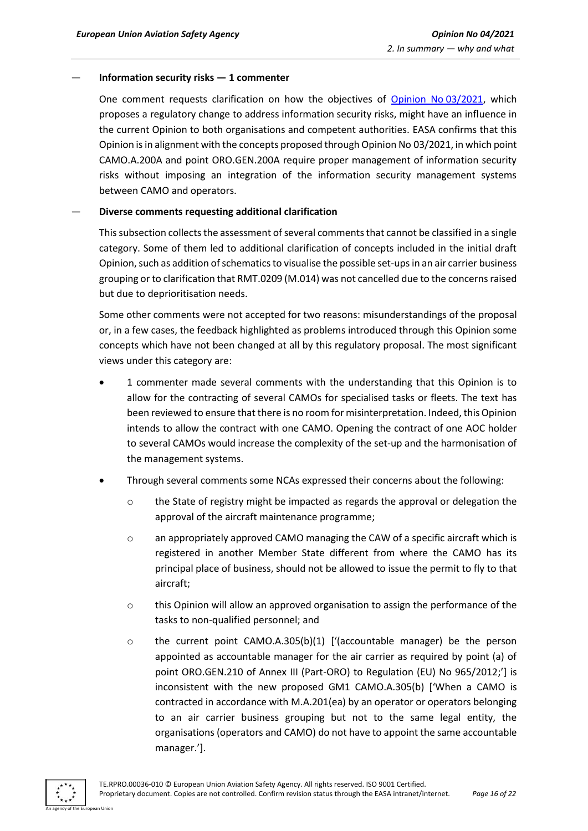#### — **Information security risks — 1 commenter**

One comment requests clarification on how the objectives of [Opinion No](https://www.easa.europa.eu/document-library/opinions/opinion-032021) 03/2021, which proposes a regulatory change to address information security risks, might have an influence in the current Opinion to both organisations and competent authorities. EASA confirms that this Opinion is in alignment with the concepts proposed through Opinion No 03/2021, in which point CAMO.A.200A and point ORO.GEN.200A require proper management of information security risks without imposing an integration of the information security management systems between CAMO and operators.

#### — **Diverse comments requesting additional clarification**

This subsection collects the assessment of several comments that cannot be classified in a single category. Some of them led to additional clarification of concepts included in the initial draft Opinion, such as addition of schematics to visualise the possible set-ups in an air carrier business grouping or to clarification that RMT.0209 (M.014) was not cancelled due to the concerns raised but due to deprioritisation needs.

Some other comments were not accepted for two reasons: misunderstandings of the proposal or, in a few cases, the feedback highlighted as problems introduced through this Opinion some concepts which have not been changed at all by this regulatory proposal. The most significant views under this category are:

- 1 commenter made several comments with the understanding that this Opinion is to allow for the contracting of several CAMOs for specialised tasks or fleets. The text has been reviewed to ensure that there is no room for misinterpretation. Indeed, this Opinion intends to allow the contract with one CAMO. Opening the contract of one AOC holder to several CAMOs would increase the complexity of the set-up and the harmonisation of the management systems.
- Through several comments some NCAs expressed their concerns about the following:
	- $\circ$  the State of registry might be impacted as regards the approval or delegation the approval of the aircraft maintenance programme;
	- o an appropriately approved CAMO managing the CAW of a specific aircraft which is registered in another Member State different from where the CAMO has its principal place of business, should not be allowed to issue the permit to fly to that aircraft;
	- o this Opinion will allow an approved organisation to assign the performance of the tasks to non-qualified personnel; and
	- o the current point CAMO.A.305(b)(1) ['(accountable manager) be the person appointed as accountable manager for the air carrier as required by point (a) of point ORO.GEN.210 of Annex III (Part-ORO) to Regulation (EU) No 965/2012;'] is inconsistent with the new proposed GM1 CAMO.A.305(b) ['When a CAMO is contracted in accordance with M.A.201(ea) by an operator or operators belonging to an air carrier business grouping but not to the same legal entity, the organisations (operators and CAMO) do not have to appoint the same accountable manager.'].

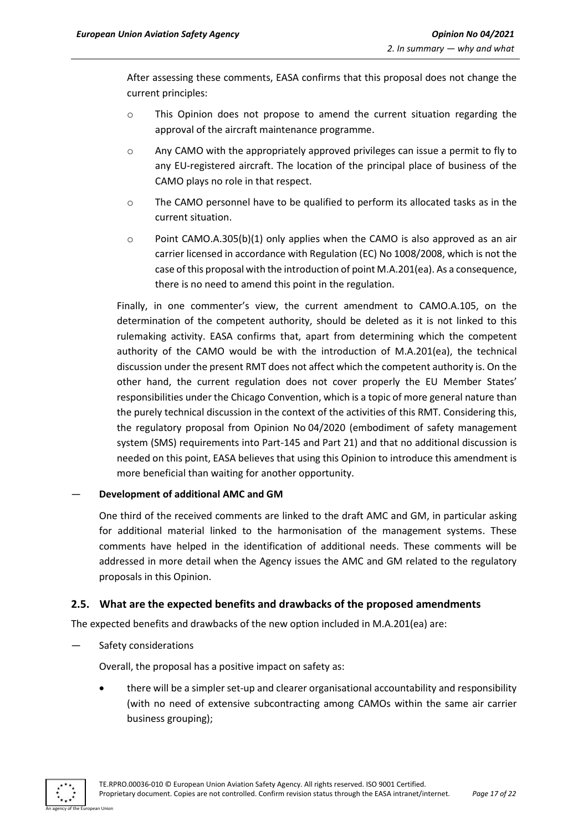After assessing these comments, EASA confirms that this proposal does not change the current principles:

- o This Opinion does not propose to amend the current situation regarding the approval of the aircraft maintenance programme.
- $\circ$  Any CAMO with the appropriately approved privileges can issue a permit to fly to any EU-registered aircraft. The location of the principal place of business of the CAMO plays no role in that respect.
- $\circ$  The CAMO personnel have to be qualified to perform its allocated tasks as in the current situation.
- $\circ$  Point CAMO.A.305(b)(1) only applies when the CAMO is also approved as an air carrier licensed in accordance with Regulation (EC) No 1008/2008, which is not the case of this proposal with the introduction of point M.A.201(ea). As a consequence, there is no need to amend this point in the regulation.

Finally, in one commenter's view, the current amendment to CAMO.A.105, on the determination of the competent authority, should be deleted as it is not linked to this rulemaking activity. EASA confirms that, apart from determining which the competent authority of the CAMO would be with the introduction of M.A.201(ea), the technical discussion under the present RMT does not affect which the competent authority is. On the other hand, the current regulation does not cover properly the EU Member States' responsibilities under the Chicago Convention, which is a topic of more general nature than the purely technical discussion in the context of the activities of this RMT. Considering this, the regulatory proposal from Opinion No 04/2020 (embodiment of safety management system (SMS) requirements into Part-145 and Part 21) and that no additional discussion is needed on this point, EASA believes that using this Opinion to introduce this amendment is more beneficial than waiting for another opportunity.

#### — **Development of additional AMC and GM**

One third of the received comments are linked to the draft AMC and GM, in particular asking for additional material linked to the harmonisation of the management systems. These comments have helped in the identification of additional needs. These comments will be addressed in more detail when the Agency issues the AMC and GM related to the regulatory proposals in this Opinion.

#### <span id="page-16-0"></span>**2.5. What are the expected benefits and drawbacks of the proposed amendments**

The expected benefits and drawbacks of the new option included in M.A.201(ea) are:

Safety considerations

Overall, the proposal has a positive impact on safety as:

• there will be a simpler set-up and clearer organisational accountability and responsibility (with no need of extensive subcontracting among CAMOs within the same air carrier business grouping);

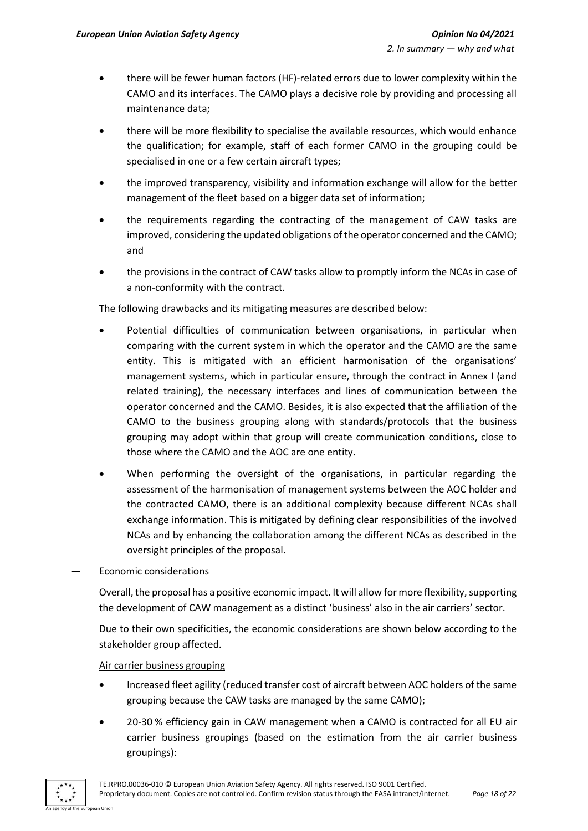- there will be fewer human factors (HF)-related errors due to lower complexity within the CAMO and its interfaces. The CAMO plays a decisive role by providing and processing all maintenance data;
- there will be more flexibility to specialise the available resources, which would enhance the qualification; for example, staff of each former CAMO in the grouping could be specialised in one or a few certain aircraft types;
- the improved transparency, visibility and information exchange will allow for the better management of the fleet based on a bigger data set of information;
- the requirements regarding the contracting of the management of CAW tasks are improved, considering the updated obligations of the operator concerned and the CAMO; and
- the provisions in the contract of CAW tasks allow to promptly inform the NCAs in case of a non-conformity with the contract.

The following drawbacks and its mitigating measures are described below:

- Potential difficulties of communication between organisations, in particular when comparing with the current system in which the operator and the CAMO are the same entity. This is mitigated with an efficient harmonisation of the organisations' management systems, which in particular ensure, through the contract in Annex I (and related training), the necessary interfaces and lines of communication between the operator concerned and the CAMO. Besides, it is also expected that the affiliation of the CAMO to the business grouping along with standards/protocols that the business grouping may adopt within that group will create communication conditions, close to those where the CAMO and the AOC are one entity.
- When performing the oversight of the organisations, in particular regarding the assessment of the harmonisation of management systems between the AOC holder and the contracted CAMO, there is an additional complexity because different NCAs shall exchange information. This is mitigated by defining clear responsibilities of the involved NCAs and by enhancing the collaboration among the different NCAs as described in the oversight principles of the proposal.

— Economic considerations

Overall, the proposal has a positive economic impact. It will allow for more flexibility, supporting the development of CAW management as a distinct 'business' also in the air carriers' sector.

Due to their own specificities, the economic considerations are shown below according to the stakeholder group affected.

Air carrier business grouping

- Increased fleet agility (reduced transfer cost of aircraft between AOC holders of the same grouping because the CAW tasks are managed by the same CAMO);
- 20-30 % efficiency gain in CAW management when a CAMO is contracted for all EU air carrier business groupings (based on the estimation from the air carrier business groupings):

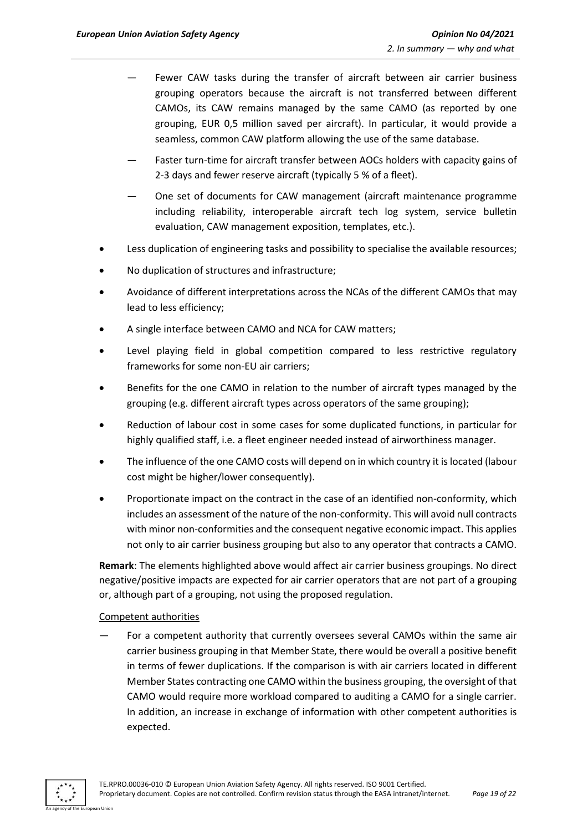- Fewer CAW tasks during the transfer of aircraft between air carrier business grouping operators because the aircraft is not transferred between different CAMOs, its CAW remains managed by the same CAMO (as reported by one grouping, EUR 0,5 million saved per aircraft). In particular, it would provide a seamless, common CAW platform allowing the use of the same database.
- Faster turn-time for aircraft transfer between AOCs holders with capacity gains of 2-3 days and fewer reserve aircraft (typically 5 % of a fleet).
- One set of documents for CAW management (aircraft maintenance programme including reliability, interoperable aircraft tech log system, service bulletin evaluation, CAW management exposition, templates, etc.).
- Less duplication of engineering tasks and possibility to specialise the available resources;
- No duplication of structures and infrastructure;
- Avoidance of different interpretations across the NCAs of the different CAMOs that may lead to less efficiency;
- A single interface between CAMO and NCA for CAW matters;
- Level playing field in global competition compared to less restrictive regulatory frameworks for some non-EU air carriers;
- Benefits for the one CAMO in relation to the number of aircraft types managed by the grouping (e.g. different aircraft types across operators of the same grouping);
- Reduction of labour cost in some cases for some duplicated functions, in particular for highly qualified staff, i.e. a fleet engineer needed instead of airworthiness manager.
- The influence of the one CAMO costs will depend on in which country it is located (labour cost might be higher/lower consequently).
- Proportionate impact on the contract in the case of an identified non-conformity, which includes an assessment of the nature of the non-conformity. This will avoid null contracts with minor non-conformities and the consequent negative economic impact. This applies not only to air carrier business grouping but also to any operator that contracts a CAMO.

**Remark**: The elements highlighted above would affect air carrier business groupings. No direct negative/positive impacts are expected for air carrier operators that are not part of a grouping or, although part of a grouping, not using the proposed regulation.

#### Competent authorities

— For a competent authority that currently oversees several CAMOs within the same air carrier business grouping in that Member State, there would be overall a positive benefit in terms of fewer duplications. If the comparison is with air carriers located in different Member States contracting one CAMO within the business grouping, the oversight of that CAMO would require more workload compared to auditing a CAMO for a single carrier. In addition, an increase in exchange of information with other competent authorities is expected.

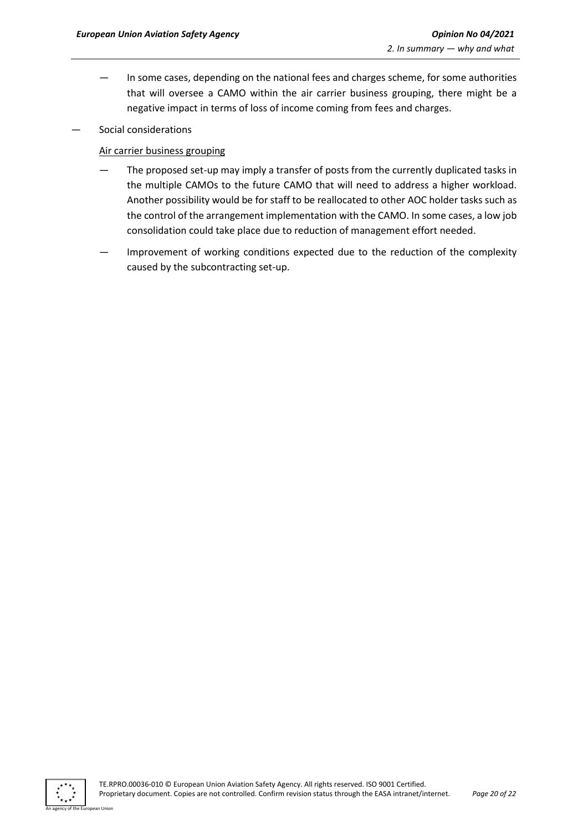- In some cases, depending on the national fees and charges scheme, for some authorities that will oversee a CAMO within the air carrier business grouping, there might be a negative impact in terms of loss of income coming from fees and charges.
- Social considerations

#### Air carrier business grouping

- The proposed set-up may imply a transfer of posts from the currently duplicated tasks in the multiple CAMOs to the future CAMO that will need to address a higher workload. Another possibility would be for staff to be reallocated to other AOC holder tasks such as the control of the arrangement implementation with the CAMO. In some cases, a low job consolidation could take place due to reduction of management effort needed.
- Improvement of working conditions expected due to the reduction of the complexity caused by the subcontracting set-up.

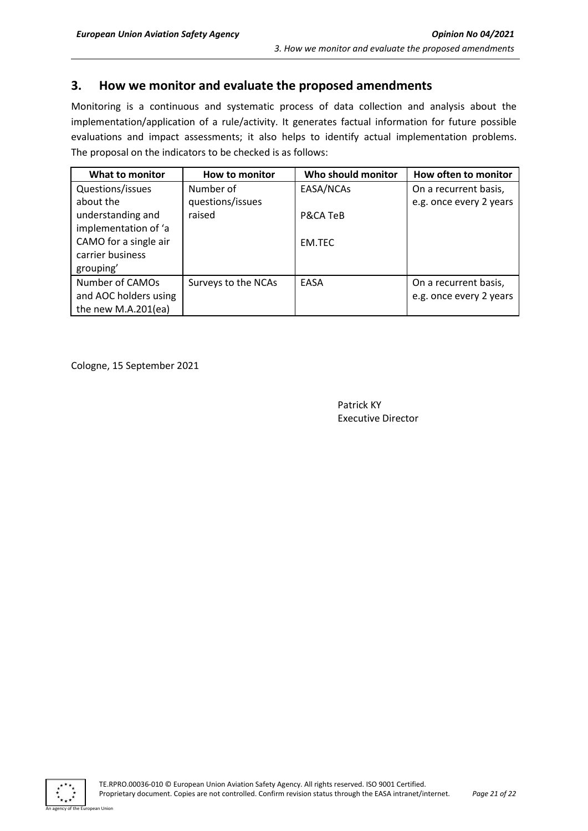## <span id="page-20-0"></span>**3. How we monitor and evaluate the proposed amendments**

Monitoring is a continuous and systematic process of data collection and analysis about the implementation/application of a rule/activity. It generates factual information for future possible evaluations and impact assessments; it also helps to identify actual implementation problems. The proposal on the indicators to be checked is as follows:

| What to monitor       | How to monitor      | Who should monitor | How often to monitor    |
|-----------------------|---------------------|--------------------|-------------------------|
| Questions/issues      | Number of           | EASA/NCAs          | On a recurrent basis,   |
| about the             | questions/issues    |                    | e.g. once every 2 years |
| understanding and     | raised              | P&CA TeB           |                         |
| implementation of 'a  |                     |                    |                         |
| CAMO for a single air |                     | <b>EM.TEC</b>      |                         |
| carrier business      |                     |                    |                         |
| grouping'             |                     |                    |                         |
| Number of CAMOs       | Surveys to the NCAs | EASA               | On a recurrent basis,   |
| and AOC holders using |                     |                    | e.g. once every 2 years |
| the new M.A.201(ea)   |                     |                    |                         |

Cologne, 15 September 2021

Patrick KY Executive Director



n Hoio